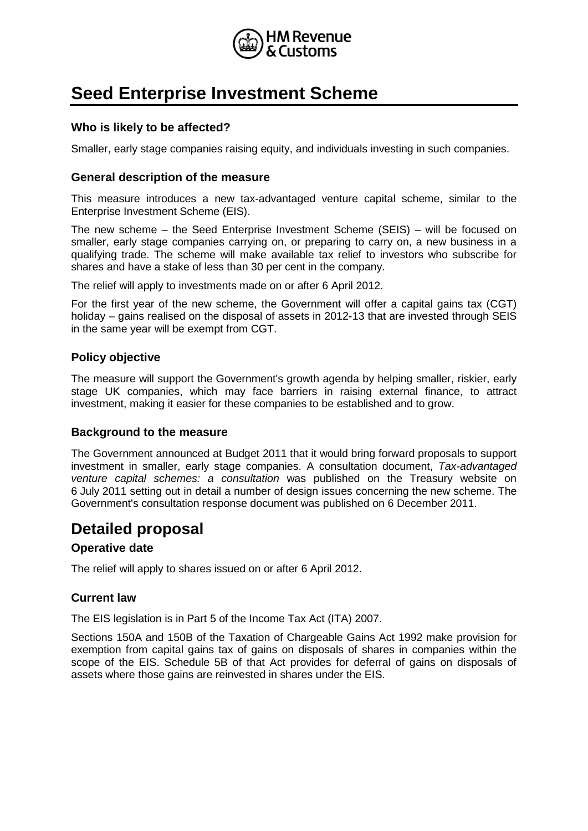

# **Seed Enterprise Investment Scheme**

## **Who is likely to be affected?**

Smaller, early stage companies raising equity, and individuals investing in such companies.

#### **General description of the measure**

This measure introduces a new tax-advantaged venture capital scheme, similar to the Enterprise Investment Scheme (EIS).

The new scheme – the Seed Enterprise Investment Scheme (SEIS) – will be focused on smaller, early stage companies carrying on, or preparing to carry on, a new business in a qualifying trade. The scheme will make available tax relief to investors who subscribe for shares and have a stake of less than 30 per cent in the company.

The relief will apply to investments made on or after 6 April 2012.

For the first year of the new scheme, the Government will offer a capital gains tax (CGT) holiday – gains realised on the disposal of assets in 2012-13 that are invested through SEIS in the same year will be exempt from CGT.

#### **Policy objective**

The measure will support the Government's growth agenda by helping smaller, riskier, early stage UK companies, which may face barriers in raising external finance, to attract investment, making it easier for these companies to be established and to grow.

#### **Background to the measure**

The Government announced at Budget 2011 that it would bring forward proposals to support investment in smaller, early stage companies. A consultation document, *Tax-advantaged venture capital schemes: a consultation* was published on the Treasury website on 6 July 2011 setting out in detail a number of design issues concerning the new scheme. The Government's consultation response document was published on 6 December 2011.

# **Detailed proposal**

#### **Operative date**

The relief will apply to shares issued on or after 6 April 2012.

#### **Current law**

The EIS legislation is in Part 5 of the Income Tax Act (ITA) 2007.

Sections 150A and 150B of the Taxation of Chargeable Gains Act 1992 make provision for exemption from capital gains tax of gains on disposals of shares in companies within the scope of the EIS. Schedule 5B of that Act provides for deferral of gains on disposals of assets where those gains are reinvested in shares under the EIS.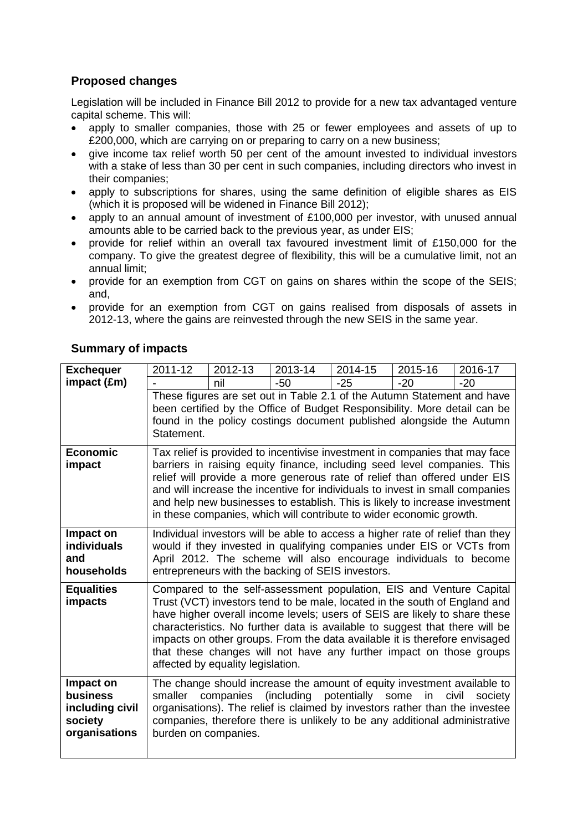# **Proposed changes**

Legislation will be included in Finance Bill 2012 to provide for a new tax advantaged venture capital scheme. This will:

- apply to smaller companies, those with 25 or fewer employees and assets of up to £200,000, which are carrying on or preparing to carry on a new business;
- give income tax relief worth 50 per cent of the amount invested to individual investors with a stake of less than 30 per cent in such companies, including directors who invest in their companies;
- apply to subscriptions for shares, using the same definition of eligible shares as EIS (which it is proposed will be widened in Finance Bill 2012);
- apply to an annual amount of investment of  $£100,000$  per investor, with unused annual amounts able to be carried back to the previous year, as under EIS;
- provide for relief within an overall tax favoured investment limit of £150,000 for the company. To give the greatest degree of flexibility, this will be a cumulative limit, not an annual limit;
- provide for an exemption from CGT on gains on shares within the scope of the SEIS; and,
- provide for an exemption from CGT on gains realised from disposals of assets in 2012-13, where the gains are reinvested through the new SEIS in the same year.

| <b>Exchequer</b>                                                            | 2011-12                                                                                                                                                                                                                                                                                                                                                                                                                                                                    | 2012-13                           | 2013-14                                                                                                                                                                                                                                                                                                                                                                                                                                                             | 2014-15 | 2015-16 | 2016-17          |
|-----------------------------------------------------------------------------|----------------------------------------------------------------------------------------------------------------------------------------------------------------------------------------------------------------------------------------------------------------------------------------------------------------------------------------------------------------------------------------------------------------------------------------------------------------------------|-----------------------------------|---------------------------------------------------------------------------------------------------------------------------------------------------------------------------------------------------------------------------------------------------------------------------------------------------------------------------------------------------------------------------------------------------------------------------------------------------------------------|---------|---------|------------------|
| impact (£m)                                                                 |                                                                                                                                                                                                                                                                                                                                                                                                                                                                            | nil                               | -50                                                                                                                                                                                                                                                                                                                                                                                                                                                                 | $-25$   | $-20$   | $-20$            |
|                                                                             | These figures are set out in Table 2.1 of the Autumn Statement and have<br>been certified by the Office of Budget Responsibility. More detail can be<br>found in the policy costings document published alongside the Autumn<br>Statement.                                                                                                                                                                                                                                 |                                   |                                                                                                                                                                                                                                                                                                                                                                                                                                                                     |         |         |                  |
| <b>Economic</b><br>impact                                                   | Tax relief is provided to incentivise investment in companies that may face<br>barriers in raising equity finance, including seed level companies. This<br>relief will provide a more generous rate of relief than offered under EIS<br>and will increase the incentive for individuals to invest in small companies<br>and help new businesses to establish. This is likely to increase investment<br>in these companies, which will contribute to wider economic growth. |                                   |                                                                                                                                                                                                                                                                                                                                                                                                                                                                     |         |         |                  |
| Impact on<br>individuals<br>and<br>households                               | Individual investors will be able to access a higher rate of relief than they<br>would if they invested in qualifying companies under EIS or VCTs from<br>April 2012. The scheme will also encourage individuals to become<br>entrepreneurs with the backing of SEIS investors.                                                                                                                                                                                            |                                   |                                                                                                                                                                                                                                                                                                                                                                                                                                                                     |         |         |                  |
| <b>Equalities</b><br>impacts                                                |                                                                                                                                                                                                                                                                                                                                                                                                                                                                            | affected by equality legislation. | Compared to the self-assessment population, EIS and Venture Capital<br>Trust (VCT) investors tend to be male, located in the south of England and<br>have higher overall income levels; users of SEIS are likely to share these<br>characteristics. No further data is available to suggest that there will be<br>impacts on other groups. From the data available it is therefore envisaged<br>that these changes will not have any further impact on those groups |         |         |                  |
| Impact on<br><b>business</b><br>including civil<br>society<br>organisations | smaller<br>burden on companies.                                                                                                                                                                                                                                                                                                                                                                                                                                            |                                   | The change should increase the amount of equity investment available to<br>companies (including potentially some<br>organisations). The relief is claimed by investors rather than the investee<br>companies, therefore there is unlikely to be any additional administrative                                                                                                                                                                                       |         | in      | civil<br>society |

# **Summary of impacts**